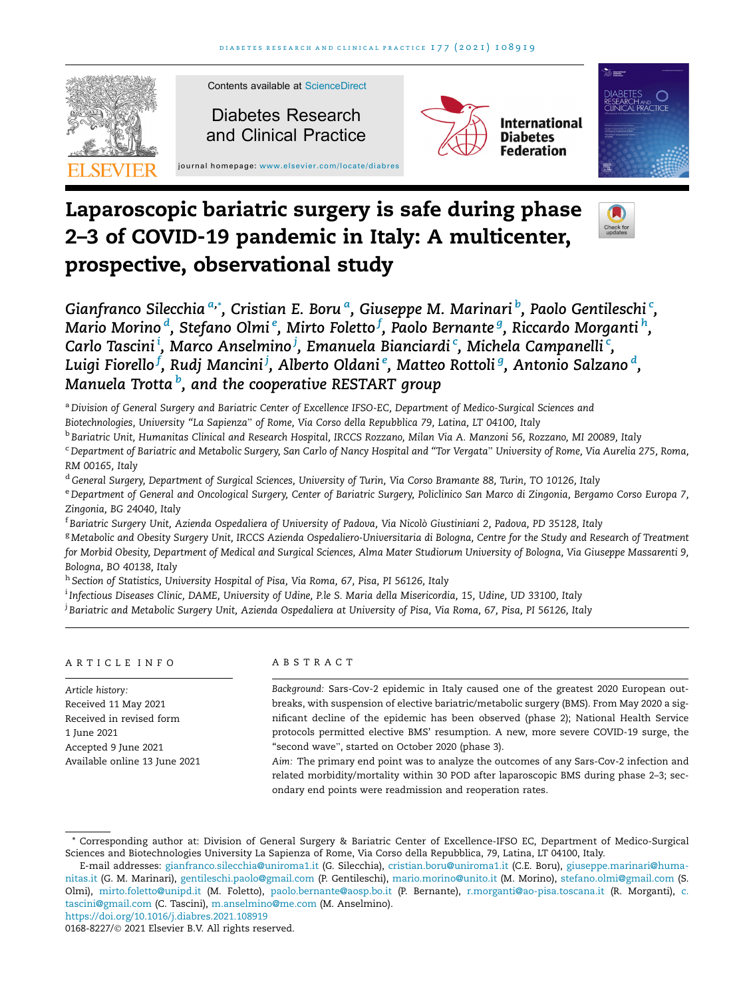

# Laparoscopic bariatric surgery is safe during phase 2–3 of COVID-19 pandemic in Italy: A multicenter, prospective, observational study



Gianfranco Silecchia <sup>a,</sup>\*, Cristian E. Boru <sup>a</sup>, Giuseppe M. Marinari <sup>b</sup>, Paolo Gentileschi <sup>c</sup>, Mario Morino <sup>d</sup>, Stefano Olmi <sup>e</sup>, Mirto Foletto <sup>f</sup>, Paolo Bernante <sup>g</sup>, Riccardo Morganti <sup>h</sup>, Carlo Tascini $^{\rm i}$ , Marco Anselmino $^{\rm j}$ , Emanuela Bianciardi<code>c</code>, Michela Campanelli $^{\rm c}$ , Luigi Fiorello<sup>f</sup>, Rudj Mancini<sup>j</sup>, Alberto Oldani<sup>e</sup>, Matteo Rottoli<sup>g</sup>, Antonio Salzano <sup>d</sup>, Manuela Trotta <sup>b</sup>, and the cooperative RESTART group

<sup>a</sup> Division of General Surgery and Bariatric Center of Excellence IFSO-EC, Department of Medico-Surgical Sciences and Biotechnologies, University ''La Sapienza" of Rome, Via Corso della Repubblica 79, Latina, LT 04100, Italy

<sup>b</sup> Bariatric Unit, Humanitas Clinical and Research Hospital, IRCCS Rozzano, Milan Via A. Manzoni 56, Rozzano, MI 20089, Italy

<sup>c</sup> Department of Bariatric and Metabolic Surgery, San Carlo of Nancy Hospital and ''Tor Vergata" University of Rome, Via Aurelia 275, Roma, RM 00165, Italy

<sup>d</sup> General Surgery, Department of Surgical Sciences, University of Turin, Via Corso Bramante 88, Turin, TO 10126, Italy

e Department of General and Oncological Surgery, Center of Bariatric Surgery, Policlinico San Marco di Zingonia, Bergamo Corso Europa 7, Zingonia, BG 24040, Italy

<sup>f</sup> Bariatric Surgery Unit, Azienda Ospedaliera of University of Padova, Via Nicolò Giustiniani 2, Padova, PD 35128, Italy

<sup>g</sup> Metabolic and Obesity Surgery Unit, IRCCS Azienda Ospedaliero-Universitaria di Bologna, Centre for the Study and Research of Treatment for Morbid Obesity, Department of Medical and Surgical Sciences, Alma Mater Studiorum University of Bologna, Via Giuseppe Massarenti 9, Bologna, BO 40138, Italy

h Section of Statistics, University Hospital of Pisa, Via Roma, 67, Pisa, PI 56126, Italy

i Infectious Diseases Clinic, DAME, University of Udine, P.le S. Maria della Misericordia, 15, Udine, UD 33100, Italy

<sup>j</sup> Bariatric and Metabolic Surgery Unit, Azienda Ospedaliera at University of Pisa, Via Roma, 67, Pisa, PI 56126, Italy

## ARTICLE INFO

Article history: Received 11 May 2021 Received in revised form 1 June 2021 Accepted 9 June 2021 Available online 13 June 2021

## ABSTRACT

Background: Sars-Cov-2 epidemic in Italy caused one of the greatest 2020 European outbreaks, with suspension of elective bariatric/metabolic surgery (BMS). From May 2020 a significant decline of the epidemic has been observed (phase 2); National Health Service protocols permitted elective BMS' resumption. A new, more severe COVID-19 surge, the "second wave", started on October 2020 (phase 3).

Aim: The primary end point was to analyze the outcomes of any Sars-Cov-2 infection and related morbidity/mortality within 30 POD after laparoscopic BMS during phase 2–3; secondary end points were readmission and reoperation rates.

<https://doi.org/10.1016/j.diabres.2021.108919>

<sup>\*</sup> Corresponding author at: Division of General Surgery & Bariatric Center of Excellence-IFSO EC, Department of Medico-Surgical Sciences and Biotechnologies University La Sapienza of Rome, Via Corso della Repubblica, 79, Latina, LT 04100, Italy.

E-mail addresses: [gianfranco.silecchia@uniroma1.it](mailto:gianfranco.silecchia@uniroma1.it) (G. Silecchia), [cristian.boru@uniroma1.it](mailto:cristian.boru@uniroma1.it) (C.E. Boru), [giuseppe.marinari@huma](mailto:giuseppe.marinari@humanitas.it)[nitas.it](mailto:giuseppe.marinari@humanitas.it) (G. M. Marinari), [gentileschi.paolo@gmail.com](mailto:gentileschi.paolo@gmail.com) (P. Gentileschi), [mario.morino@unito.it](mailto:mario.morino@unito.it) (M. Morino), [stefano.olmi@gmail.com](mailto:stefano.olmi@gmail.com) (S. Olmi), [mirto.foletto@unipd.it](mailto:mirto.foletto@unipd.it) (M. Foletto), [paolo.bernante@aosp.bo.it](mailto:paolo.bernante@aosp.bo.it) (P. Bernante), [r.morganti@ao-pisa.toscana.it](mailto:r.morganti@ao-pisa.toscana.it) (R. Morganti), [c.](mailto:c.tascini@gmail.com) [tascini@gmail.com](mailto:c.tascini@gmail.com) (C. Tascini), [m.anselmino@me.com](mailto:m.anselmino@me.com) (M. Anselmino).

<sup>0168-8227/© 2021</sup> Elsevier B.V. All rights reserved.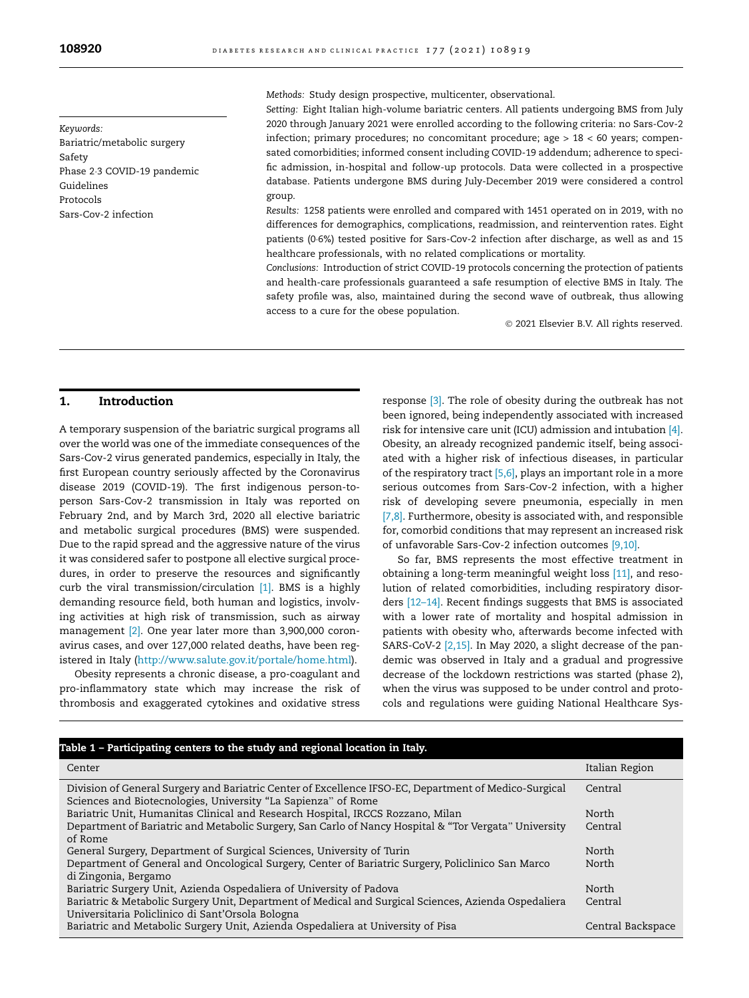<span id="page-1-0"></span>108920 **DIABETES RESEARCH AND CLINICAL PRACTICE** 177 (2021) 108919

Keywords: Bariatric/metabolic surgery Safety Phase 23 COVID-19 pandemic Guidelines Protocols Sars-Cov-2 infection

Methods: Study design prospective, multicenter, observational.

Setting: Eight Italian high-volume bariatric centers. All patients undergoing BMS from July 2020 through January 2021 were enrolled according to the following criteria: no Sars-Cov-2 infection; primary procedures; no concomitant procedure; age > 18 < 60 years; compensated comorbidities; informed consent including COVID-19 addendum; adherence to specific admission, in-hospital and follow-up protocols. Data were collected in a prospective database. Patients undergone BMS during July-December 2019 were considered a control group.

Results: 1258 patients were enrolled and compared with 1451 operated on in 2019, with no differences for demographics, complications, readmission, and reintervention rates. Eight patients (06%) tested positive for Sars-Cov-2 infection after discharge, as well as and 15 healthcare professionals, with no related complications or mortality.

Conclusions: Introduction of strict COVID-19 protocols concerning the protection of patients and health-care professionals guaranteed a safe resumption of elective BMS in Italy. The safety profile was, also, maintained during the second wave of outbreak, thus allowing access to a cure for the obese population.

2021 Elsevier B.V. All rights reserved.

## 1. Introduction

A temporary suspension of the bariatric surgical programs all over the world was one of the immediate consequences of the Sars-Cov-2 virus generated pandemics, especially in Italy, the first European country seriously affected by the Coronavirus disease 2019 (COVID-19). The first indigenous person-toperson Sars-Cov-2 transmission in Italy was reported on February 2nd, and by March 3rd, 2020 all elective bariatric and metabolic surgical procedures (BMS) were suspended. Due to the rapid spread and the aggressive nature of the virus it was considered safer to postpone all elective surgical procedures, in order to preserve the resources and significantly curb the viral transmission/circulation [\[1\].](#page-6-0) BMS is a highly demanding resource field, both human and logistics, involving activities at high risk of transmission, such as airway management [\[2\].](#page-6-0) One year later more than 3,900,000 coronavirus cases, and over 127,000 related deaths, have been registered in Italy [\(http://www.salute.gov.it/portale/home.html](http://www.salute.gov.it/portale/home.html)).

Obesity represents a chronic disease, a pro-coagulant and pro-inflammatory state which may increase the risk of thrombosis and exaggerated cytokines and oxidative stress

response [\[3\]](#page-6-0). The role of obesity during the outbreak has not been ignored, being independently associated with increased risk for intensive care unit (ICU) admission and intubation [\[4\]](#page-7-0). Obesity, an already recognized pandemic itself, being associated with a higher risk of infectious diseases, in particular of the respiratory tract [\[5,6\],](#page-7-0) plays an important role in a more serious outcomes from Sars-Cov-2 infection, with a higher risk of developing severe pneumonia, especially in men [\[7,8\]](#page-7-0). Furthermore, obesity is associated with, and responsible for, comorbid conditions that may represent an increased risk of unfavorable Sars-Cov-2 infection outcomes [\[9,10\].](#page-7-0)

So far, BMS represents the most effective treatment in obtaining a long-term meaningful weight loss [\[11\]](#page-7-0), and resolution of related comorbidities, including respiratory disorders [\[12–14\]](#page-7-0). Recent findings suggests that BMS is associated with a lower rate of mortality and hospital admission in patients with obesity who, afterwards become infected with SARS-CoV-2 [\[2,15\].](#page-6-0) In May 2020, a slight decrease of the pandemic was observed in Italy and a gradual and progressive decrease of the lockdown restrictions was started (phase 2), when the virus was supposed to be under control and protocols and regulations were guiding National Healthcare Sys-

| Table 1 - Participating centers to the study and regional location in Italy.                                                                                           |                   |  |  |
|------------------------------------------------------------------------------------------------------------------------------------------------------------------------|-------------------|--|--|
| Center                                                                                                                                                                 | Italian Region    |  |  |
| Division of General Surgery and Bariatric Center of Excellence IFSO-EC, Department of Medico-Surgical<br>Sciences and Biotecnologies, University "La Sapienza" of Rome | Central           |  |  |
| Bariatric Unit, Humanitas Clinical and Research Hospital, IRCCS Rozzano, Milan                                                                                         | North             |  |  |
| Department of Bariatric and Metabolic Surgery, San Carlo of Nancy Hospital & "Tor Vergata" University                                                                  | Central           |  |  |
| of Rome                                                                                                                                                                |                   |  |  |
| General Surgery, Department of Surgical Sciences, University of Turin                                                                                                  | North             |  |  |
| Department of General and Oncological Surgery, Center of Bariatric Surgery, Policlinico San Marco                                                                      | North             |  |  |
| di Zingonia, Bergamo                                                                                                                                                   |                   |  |  |
| Bariatric Surgery Unit, Azienda Ospedaliera of University of Padova                                                                                                    | North             |  |  |
| Bariatric & Metabolic Surgery Unit, Department of Medical and Surgical Sciences, Azienda Ospedaliera                                                                   | Central           |  |  |
| Universitaria Policlinico di Sant'Orsola Bologna                                                                                                                       |                   |  |  |
| Bariatric and Metabolic Surgery Unit, Azienda Ospedaliera at University of Pisa                                                                                        | Central Backspace |  |  |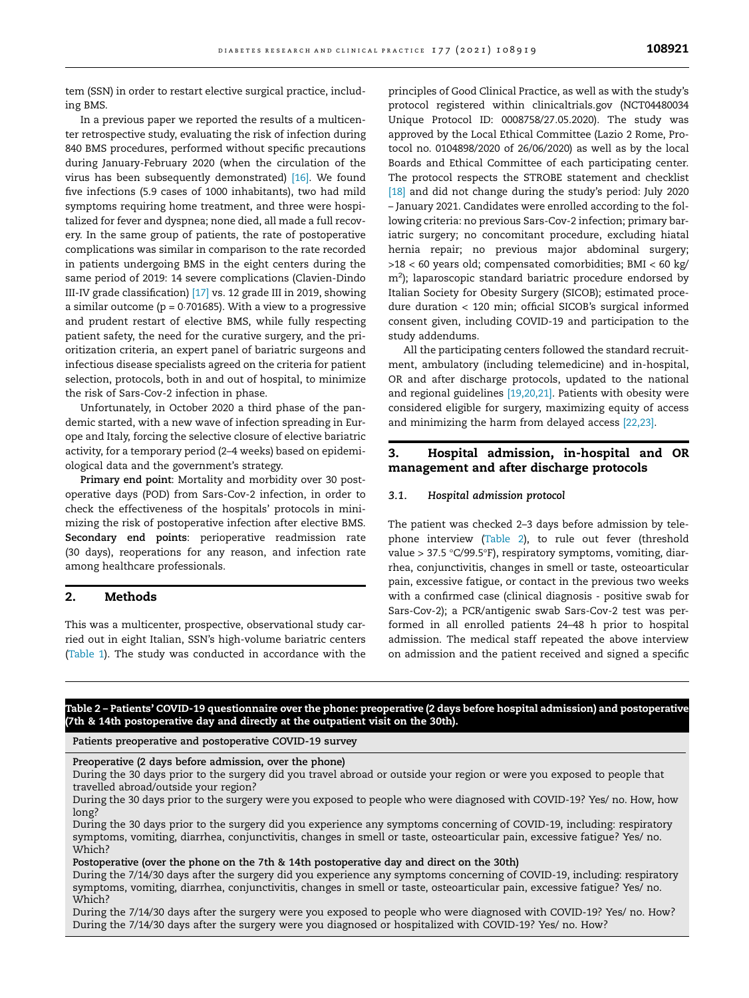<span id="page-2-0"></span>tem (SSN) in order to restart elective surgical practice, including BMS.

In a previous paper we reported the results of a multicenter retrospective study, evaluating the risk of infection during 840 BMS procedures, performed without specific precautions during January-February 2020 (when the circulation of the virus has been subsequently demonstrated) [\[16\].](#page-7-0) We found five infections (5.9 cases of 1000 inhabitants), two had mild symptoms requiring home treatment, and three were hospitalized for fever and dyspnea; none died, all made a full recovery. In the same group of patients, the rate of postoperative complications was similar in comparison to the rate recorded in patients undergoing BMS in the eight centers during the same period of 2019: 14 severe complications (Clavien-Dindo III-IV grade classification) [\[17\]](#page-7-0) vs. 12 grade III in 2019, showing a similar outcome ( $p = 0.701685$ ). With a view to a progressive and prudent restart of elective BMS, while fully respecting patient safety, the need for the curative surgery, and the prioritization criteria, an expert panel of bariatric surgeons and infectious disease specialists agreed on the criteria for patient selection, protocols, both in and out of hospital, to minimize the risk of Sars-Cov-2 infection in phase.

Unfortunately, in October 2020 a third phase of the pandemic started, with a new wave of infection spreading in Europe and Italy, forcing the selective closure of elective bariatric activity, for a temporary period (2–4 weeks) based on epidemiological data and the government's strategy.

Primary end point: Mortality and morbidity over 30 postoperative days (POD) from Sars-Cov-2 infection, in order to check the effectiveness of the hospitals' protocols in minimizing the risk of postoperative infection after elective BMS. Secondary end points: perioperative readmission rate (30 days), reoperations for any reason, and infection rate among healthcare professionals.

## 2. Methods

This was a multicenter, prospective, observational study carried out in eight Italian, SSN's high-volume bariatric centers [\(Table 1\)](#page-1-0). The study was conducted in accordance with the

principles of Good Clinical Practice, as well as with the study's protocol registered within clinicaltrials.gov (NCT04480034 Unique Protocol ID: 0008758/27.05.2020). The study was approved by the Local Ethical Committee (Lazio 2 Rome, Protocol no. 0104898/2020 of 26/06/2020) as well as by the local Boards and Ethical Committee of each participating center. The protocol respects the STROBE statement and checklist [\[18\]](#page-7-0) and did not change during the study's period: July 2020 – January 2021. Candidates were enrolled according to the following criteria: no previous Sars-Cov-2 infection; primary bariatric surgery; no concomitant procedure, excluding hiatal hernia repair; no previous major abdominal surgery; >18 < 60 years old; compensated comorbidities; BMI < 60 kg/ m<sup>2</sup>); laparoscopic standard bariatric procedure endorsed by Italian Society for Obesity Surgery (SICOB); estimated procedure duration < 120 min; official SICOB's surgical informed consent given, including COVID-19 and participation to the study addendums.

All the participating centers followed the standard recruitment, ambulatory (including telemedicine) and in-hospital, OR and after discharge protocols, updated to the national and regional guidelines [\[19,20,21\]](#page-7-0). Patients with obesity were considered eligible for surgery, maximizing equity of access and minimizing the harm from delayed access [\[22,23\]](#page-7-0).

## 3. Hospital admission, in-hospital and OR management and after discharge protocols

#### 3.1. Hospital admission protocol

The patient was checked 2–3 days before admission by telephone interview (Table 2), to rule out fever (threshold value > 37.5 °C/99.5°F), respiratory symptoms, vomiting, diarrhea, conjunctivitis, changes in smell or taste, osteoarticular pain, excessive fatigue, or contact in the previous two weeks with a confirmed case (clinical diagnosis - positive swab for Sars-Cov-2); a PCR/antigenic swab Sars-Cov-2 test was performed in all enrolled patients 24–48 h prior to hospital admission. The medical staff repeated the above interview on admission and the patient received and signed a specific

## Table 2 – Patients' COVID-19 questionnaire over the phone: preoperative (2 days before hospital admission) and postoperative (7th & 14th postoperative day and directly at the outpatient visit on the 30th).

Patients preoperative and postoperative COVID-19 survey

Preoperative (2 days before admission, over the phone)

During the 30 days prior to the surgery did you travel abroad or outside your region or were you exposed to people that travelled abroad/outside your region?

During the 30 days prior to the surgery were you exposed to people who were diagnosed with COVID-19? Yes/ no. How, how long?

During the 30 days prior to the surgery did you experience any symptoms concerning of COVID-19, including: respiratory symptoms, vomiting, diarrhea, conjunctivitis, changes in smell or taste, osteoarticular pain, excessive fatigue? Yes/ no. Which?

Postoperative (over the phone on the 7th & 14th postoperative day and direct on the 30th)

During the 7/14/30 days after the surgery did you experience any symptoms concerning of COVID-19, including: respiratory symptoms, vomiting, diarrhea, conjunctivitis, changes in smell or taste, osteoarticular pain, excessive fatigue? Yes/ no. Which?

During the 7/14/30 days after the surgery were you exposed to people who were diagnosed with COVID-19? Yes/ no. How? During the 7/14/30 days after the surgery were you diagnosed or hospitalized with COVID-19? Yes/ no. How?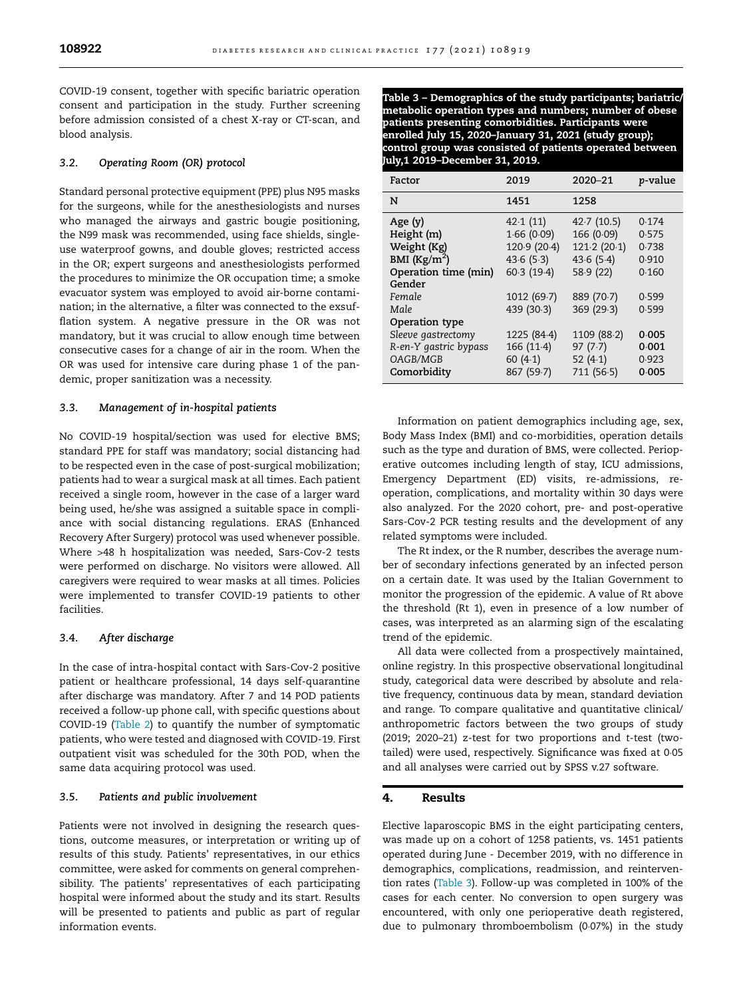COVID-19 consent, together with specific bariatric operation consent and participation in the study. Further screening before admission consisted of a chest X-ray or CT-scan, and blood analysis.

## 3.2. Operating Room (OR) protocol

Standard personal protective equipment (PPE) plus N95 masks for the surgeons, while for the anesthesiologists and nurses who managed the airways and gastric bougie positioning, the N99 mask was recommended, using face shields, singleuse waterproof gowns, and double gloves; restricted access in the OR; expert surgeons and anesthesiologists performed the procedures to minimize the OR occupation time; a smoke evacuator system was employed to avoid air-borne contamination; in the alternative, a filter was connected to the exsufflation system. A negative pressure in the OR was not mandatory, but it was crucial to allow enough time between consecutive cases for a change of air in the room. When the OR was used for intensive care during phase 1 of the pandemic, proper sanitization was a necessity.

#### 3.3. Management of in-hospital patients

No COVID-19 hospital/section was used for elective BMS; standard PPE for staff was mandatory; social distancing had to be respected even in the case of post-surgical mobilization; patients had to wear a surgical mask at all times. Each patient received a single room, however in the case of a larger ward being used, he/she was assigned a suitable space in compliance with social distancing regulations. ERAS (Enhanced Recovery After Surgery) protocol was used whenever possible. Where >48 h hospitalization was needed, Sars-Cov-2 tests were performed on discharge. No visitors were allowed. All caregivers were required to wear masks at all times. Policies were implemented to transfer COVID-19 patients to other facilities.

#### 3.4. After discharge

In the case of intra-hospital contact with Sars-Cov-2 positive patient or healthcare professional, 14 days self-quarantine after discharge was mandatory. After 7 and 14 POD patients received a follow-up phone call, with specific questions about COVID-19 ([Table 2](#page-2-0)) to quantify the number of symptomatic patients, who were tested and diagnosed with COVID-19. First outpatient visit was scheduled for the 30th POD, when the same data acquiring protocol was used.

#### 3.5. Patients and public involvement

Patients were not involved in designing the research questions, outcome measures, or interpretation or writing up of results of this study. Patients' representatives, in our ethics committee, were asked for comments on general comprehensibility. The patients' representatives of each participating hospital were informed about the study and its start. Results will be presented to patients and public as part of regular information events.

Table 3 – Demographics of the study participants; bariatric/ metabolic operation types and numbers; number of obese patients presenting comorbidities. Participants were enrolled July 15, 2020–January 31, 2021 (study group); control group was consisted of patients operated between July,1 2019–December 31, 2019.

| Factor                                                                       | 2019                                                              | 2020-21                                                          | <i>p</i> -value                           |
|------------------------------------------------------------------------------|-------------------------------------------------------------------|------------------------------------------------------------------|-------------------------------------------|
| N                                                                            | 1451                                                              | 1258                                                             |                                           |
| Age(y)<br>Height (m)<br>Weight (Kg)<br>BMI $(Kg/m2)$<br>Operation time (min) | 42.1(11)<br>1.66(0.09)<br>120.9 (20.4)<br>43.6(5.3)<br>60.3(19.4) | 42.7(10.5)<br>166 (0.09)<br>121.2(20.1)<br>43.6(5.4)<br>58.9(22) | 0.174<br>0.575<br>0.738<br>0.910<br>0.160 |
| Gender<br>Female<br>Male<br>Operation type                                   | 1012(69.7)<br>439 (30.3)                                          | 889 (70.7)<br>369 (29.3)                                         | 0.599<br>0.599                            |
| Sleeve gastrectomy<br>R-en-Y gastric bypass<br>OAGB/MGB<br>Comorbidity       | 1225 (84.4)<br>166 (11.4)<br>60 $(4.1)$<br>867 (59.7)             | 1109 (88.2)<br>97(7.7)<br>52 $(4.1)$<br>711 (56.5)               | 0.005<br>0.001<br>0.923<br>0.005          |

Information on patient demographics including age, sex, Body Mass Index (BMI) and co-morbidities, operation details such as the type and duration of BMS, were collected. Perioperative outcomes including length of stay, ICU admissions, Emergency Department (ED) visits, re-admissions, reoperation, complications, and mortality within 30 days were also analyzed. For the 2020 cohort, pre- and post-operative Sars-Cov-2 PCR testing results and the development of any related symptoms were included.

The Rt index, or the R number, describes the average number of secondary infections generated by an infected person on a certain date. It was used by the Italian Government to monitor the progression of the epidemic. A value of Rt above the threshold (Rt 1), even in presence of a low number of cases, was interpreted as an alarming sign of the escalating trend of the epidemic.

All data were collected from a prospectively maintained, online registry. In this prospective observational longitudinal study, categorical data were described by absolute and relative frequency, continuous data by mean, standard deviation and range. To compare qualitative and quantitative clinical/ anthropometric factors between the two groups of study (2019; 2020–21) z-test for two proportions and t-test (twotailed) were used, respectively. Significance was fixed at 0.05 and all analyses were carried out by SPSS v.27 software.

#### 4. Results

Elective laparoscopic BMS in the eight participating centers, was made up on a cohort of 1258 patients, vs. 1451 patients operated during June - December 2019, with no difference in demographics, complications, readmission, and reintervention rates (Table 3). Follow-up was completed in 100% of the cases for each center. No conversion to open surgery was encountered, with only one perioperative death registered, due to pulmonary thromboembolism (0.07%) in the study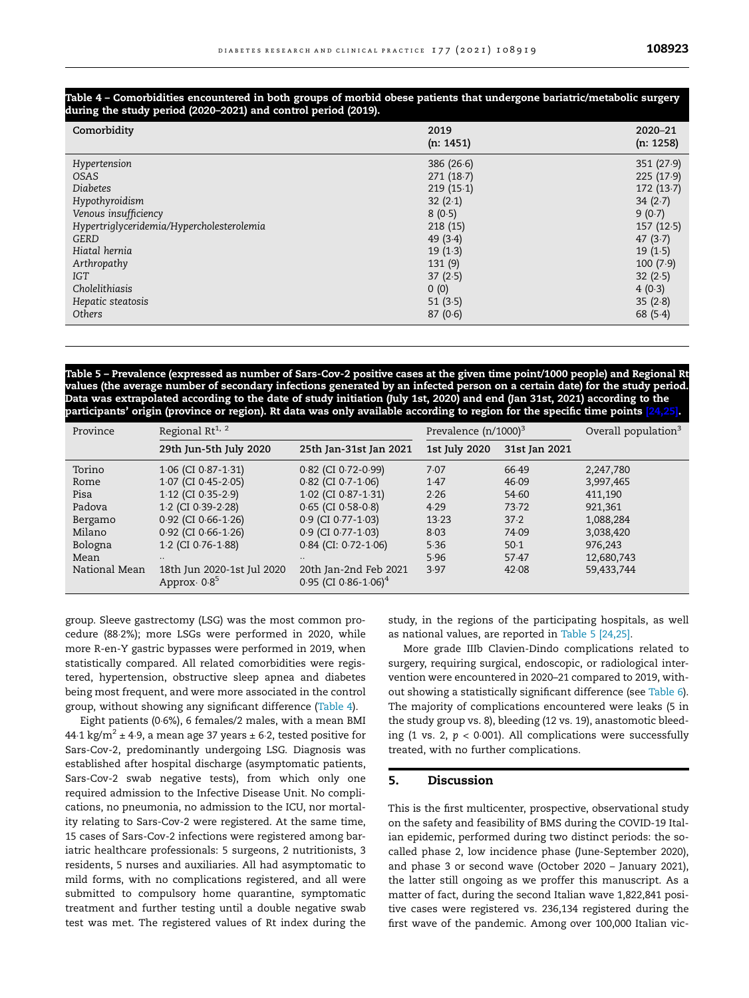#### Table 4 – Comorbidities encountered in both groups of morbid obese patients that undergone bariatric/metabolic surgery during the study period (2020–2021) and control period (2019).

| Comorbidity                               | 2019<br>(n: 1451) | 2020-21<br>(n: 1258) |
|-------------------------------------------|-------------------|----------------------|
| Hypertension                              | 386(26.6)         | 351(27.9)            |
| <b>OSAS</b>                               | 271(18.7)         | 225(17.9)            |
| <b>Diabetes</b>                           | 219(15.1)         | 172(13.7)            |
| Hypothyroidism                            | 32 $(2.1)$        | 34 $(2.7)$           |
| Venous insufficiency                      | 8(0.5)            | 9(0.7)               |
| Hypertriglyceridemia/Hypercholesterolemia | 218 (15)          | 157(12.5)            |
| GERD                                      | 49(3.4)           | 47(3.7)              |
| Hiatal hernia                             | 19(1.3)           | 19(1.5)              |
| Arthropathy                               | 131 (9)           | 100(7.9)             |
| <b>IGT</b>                                | 37(2.5)           | 32(2.5)              |
| Cholelithiasis                            | 0(0)              | 4(0.3)               |
| Hepatic steatosis                         | 51 $(3.5)$        | 35(2.8)              |
| Others                                    | 87(0.6)           | 68 (5.4)             |

Table 5 – Prevalence (expressed as number of Sars-Cov-2 positive cases at the given time point/1000 people) and Regional Rt values (the average number of secondary infections generated by an infected person on a certain date) for the study period. Data was extrapolated according to the date of study initiation (July 1st, 2020) and end (Jan 31st, 2021) according to the participants' origin (province or region). Rt data was only available according to region for the specific time points [\[24,25\].](#page-7-0)

| Province                                                                 | Regional Rt <sup>1, 2</sup>                                                                                                                                                               |                                                                                                                                                                                    | Prevalence $(n/1000)^3$                                       |                                                                    | Overall population <sup>3</sup>                                                                 |
|--------------------------------------------------------------------------|-------------------------------------------------------------------------------------------------------------------------------------------------------------------------------------------|------------------------------------------------------------------------------------------------------------------------------------------------------------------------------------|---------------------------------------------------------------|--------------------------------------------------------------------|-------------------------------------------------------------------------------------------------|
|                                                                          | 29th Jun-5th July 2020                                                                                                                                                                    | 25th Jan-31st Jan 2021                                                                                                                                                             | 1st July 2020                                                 | 31st Jan 2021                                                      |                                                                                                 |
| Torino<br>Rome<br>Pisa<br>Padova<br>Bergamo<br>Milano<br>Bologna<br>Mean | $1.06$ (CI 0.87-1.31)<br>1.07 (CI 0.45-2.05)<br>$1.12$ (CI 0.35-2.9)<br>1.2 (CI 0.39-2.28)<br>$0.92$ (CI $0.66 - 1.26$ )<br>$0.92$ (CI $0.66 - 1.26$ )<br>1.2 (CI 0.76-1.88)<br>$\cdot$ . | 0.82 (CI 0.72-0.99)<br>$0.82$ (CI 0.7-1.06)<br>1.02 (CI 0.87-1.31)<br>$0.65$ (CI 0.58-0.8)<br>0.9 (CI 0.77-1.03)<br>0.9 (CI 0.77-1.03)<br>$0.84$ (CI: $0.72 - 1.06$ )<br>$\cdot$ . | 7.07<br>1.47<br>2.26<br>4.29<br>13.23<br>8.03<br>5.36<br>5.96 | 66.49<br>46.09<br>54.60<br>73.72<br>37.2<br>74.09<br>50.1<br>57.47 | 2,247,780<br>3,997,465<br>411.190<br>921,361<br>1,088,284<br>3,038,420<br>976,243<br>12,680,743 |
| National Mean                                                            | 18th Jun 2020-1st Jul 2020<br>Approx $0.8^5$                                                                                                                                              | 20th Jan-2nd Feb 2021<br>$0.95$ (CI 0.86-1.06) <sup>4</sup>                                                                                                                        | 3.97                                                          | 42.08                                                              | 59,433,744                                                                                      |

group. Sleeve gastrectomy (LSG) was the most common procedure (882%); more LSGs were performed in 2020, while more R-en-Y gastric bypasses were performed in 2019, when statistically compared. All related comorbidities were registered, hypertension, obstructive sleep apnea and diabetes being most frequent, and were more associated in the control group, without showing any significant difference (Table 4).

Eight patients (06%), 6 females/2 males, with a mean BMI 44.1 kg/m<sup>2</sup> ± 4.9, a mean age 37 years ± 6.2, tested positive for Sars-Cov-2, predominantly undergoing LSG. Diagnosis was established after hospital discharge (asymptomatic patients, Sars-Cov-2 swab negative tests), from which only one required admission to the Infective Disease Unit. No complications, no pneumonia, no admission to the ICU, nor mortality relating to Sars-Cov-2 were registered. At the same time, 15 cases of Sars-Cov-2 infections were registered among bariatric healthcare professionals: 5 surgeons, 2 nutritionists, 3 residents, 5 nurses and auxiliaries. All had asymptomatic to mild forms, with no complications registered, and all were submitted to compulsory home quarantine, symptomatic treatment and further testing until a double negative swab test was met. The registered values of Rt index during the study, in the regions of the participating hospitals, as well as national values, are reported in Table 5 [\[24,25\]](#page-7-0).

More grade IIIb Clavien-Dindo complications related to surgery, requiring surgical, endoscopic, or radiological intervention were encountered in 2020–21 compared to 2019, without showing a statistically significant difference (see [Table 6](#page-5-0)). The majority of complications encountered were leaks (5 in the study group vs. 8), bleeding (12 vs. 19), anastomotic bleeding (1 vs. 2,  $p < 0.001$ ). All complications were successfully treated, with no further complications.

#### 5. Discussion

This is the first multicenter, prospective, observational study on the safety and feasibility of BMS during the COVID-19 Italian epidemic, performed during two distinct periods: the socalled phase 2, low incidence phase (June-September 2020), and phase 3 or second wave (October 2020 – January 2021), the latter still ongoing as we proffer this manuscript. As a matter of fact, during the second Italian wave 1,822,841 positive cases were registered vs. 236,134 registered during the first wave of the pandemic. Among over 100,000 Italian vic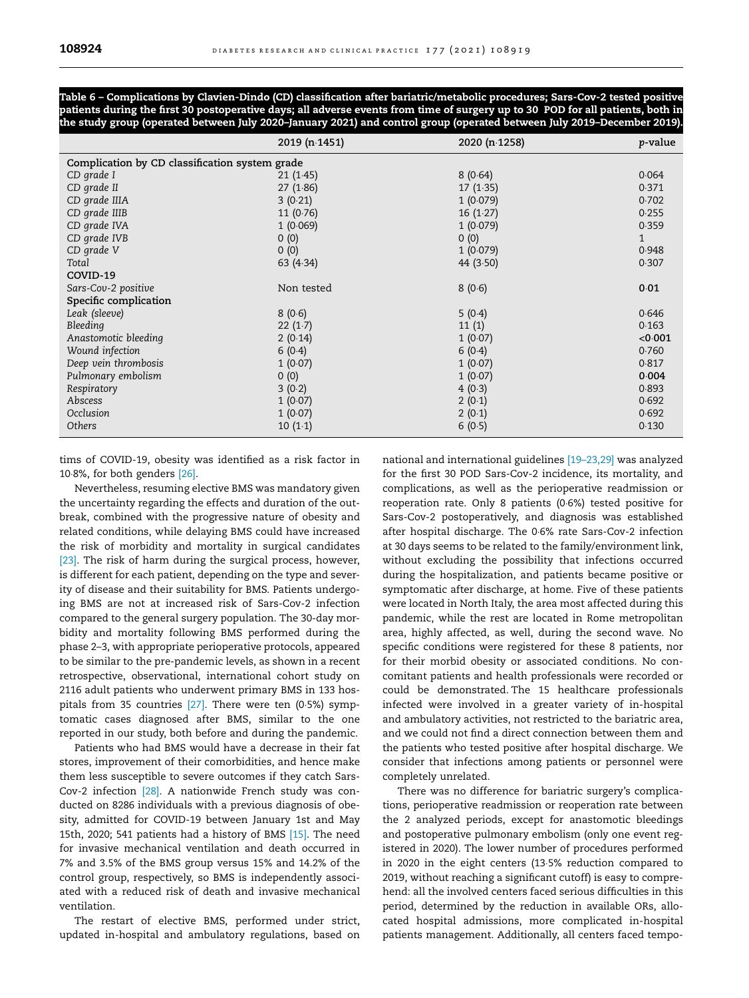<span id="page-5-0"></span>Table 6 – Complications by Clavien-Dindo (CD) classification after bariatric/metabolic procedures; Sars-Cov-2 tested positive patients during the first 30 postoperative days; all adverse events from time of surgery up to 30 POD for all patients, both in the study group (operated between July 2020–January 2021) and control group (operated between July 2019–December 2019).

|                                                | 2019 (n.1451)        | 2020 (n.1258) | <i>p</i> -value |  |  |
|------------------------------------------------|----------------------|---------------|-----------------|--|--|
| Complication by CD classification system grade |                      |               |                 |  |  |
| CD grade I                                     | 8(0.64)<br>21(1.45)  |               | 0.064           |  |  |
| CD grade II                                    | 27(1.86)             | 17(1.35)      | 0.371           |  |  |
| CD grade IIIA                                  | 3(0.21)              | 1(0.079)      | 0.702           |  |  |
| CD grade IIIB                                  | 11(0.76)             | 16(1.27)      | 0.255           |  |  |
| CD grade IVA                                   | 1(0.069)<br>1(0.079) |               | 0.359           |  |  |
| CD grade IVB                                   | 0(0)<br>0(0)         |               | $\mathbf{1}$    |  |  |
| CD grade V                                     | 0(0)<br>1(0.079)     |               | 0.948           |  |  |
| Total                                          | 63 (4.34)            | 44 $(3.50)$   | 0.307           |  |  |
| COVID-19                                       |                      |               |                 |  |  |
| Sars-Cov-2 positive                            | Non tested           | 8(0.6)        | 0.01            |  |  |
| Specific complication                          |                      |               |                 |  |  |
| Leak (sleeve)                                  | 8(0.6)               | 5(0.4)        | 0.646           |  |  |
| Bleeding                                       | 22(1.7)              | 11(1)         | 0.163           |  |  |
| Anastomotic bleeding                           | 2(0.14)              | 1(0.07)       | < 0.001         |  |  |
| Wound infection                                | 6(0.4)<br>6(0.4)     |               | 0.760           |  |  |
| Deep vein thrombosis                           | 1(0.07)              | 1(0.07)       | 0.817           |  |  |
| Pulmonary embolism                             | 0(0)                 | 1(0.07)       | 0.004           |  |  |
| Respiratory                                    | 3(0.2)               | 4(0.3)        | 0.893           |  |  |
| Abscess                                        | 1(0.07)              | 2(0.1)        | 0.692           |  |  |
| Occlusion                                      | 1(0.07)              | 2(0.1)        | 0.692           |  |  |
| Others                                         | 10(1.1)              | 6(0.5)        | 0.130           |  |  |

tims of COVID-19, obesity was identified as a risk factor in 108%, for both genders [\[26\].](#page-7-0)

Nevertheless, resuming elective BMS was mandatory given the uncertainty regarding the effects and duration of the outbreak, combined with the progressive nature of obesity and related conditions, while delaying BMS could have increased the risk of morbidity and mortality in surgical candidates [\[23\]](#page-7-0). The risk of harm during the surgical process, however, is different for each patient, depending on the type and severity of disease and their suitability for BMS. Patients undergoing BMS are not at increased risk of Sars-Cov-2 infection compared to the general surgery population. The 30-day morbidity and mortality following BMS performed during the phase 2–3, with appropriate perioperative protocols, appeared to be similar to the pre-pandemic levels, as shown in a recent retrospective, observational, international cohort study on 2116 adult patients who underwent primary BMS in 133 hospitals from 35 countries [\[27\].](#page-7-0) There were ten (05%) symptomatic cases diagnosed after BMS, similar to the one reported in our study, both before and during the pandemic.

Patients who had BMS would have a decrease in their fat stores, improvement of their comorbidities, and hence make them less susceptible to severe outcomes if they catch Sars-Cov-2 infection [\[28\].](#page-7-0) A nationwide French study was conducted on 8286 individuals with a previous diagnosis of obesity, admitted for COVID-19 between January 1st and May 15th, 2020; 541 patients had a history of BMS [\[15\]](#page-7-0). The need for invasive mechanical ventilation and death occurred in 7% and 3.5% of the BMS group versus 15% and 14.2% of the control group, respectively, so BMS is independently associated with a reduced risk of death and invasive mechanical ventilation.

The restart of elective BMS, performed under strict, updated in-hospital and ambulatory regulations, based on national and international guidelines [\[19–23,29\]](#page-7-0) was analyzed for the first 30 POD Sars-Cov-2 incidence, its mortality, and complications, as well as the perioperative readmission or reoperation rate. Only 8 patients (06%) tested positive for Sars-Cov-2 postoperatively, and diagnosis was established after hospital discharge. The 06% rate Sars-Cov-2 infection at 30 days seems to be related to the family/environment link, without excluding the possibility that infections occurred during the hospitalization, and patients became positive or symptomatic after discharge, at home. Five of these patients were located in North Italy, the area most affected during this pandemic, while the rest are located in Rome metropolitan area, highly affected, as well, during the second wave. No specific conditions were registered for these 8 patients, nor for their morbid obesity or associated conditions. No concomitant patients and health professionals were recorded or could be demonstrated. The 15 healthcare professionals infected were involved in a greater variety of in-hospital and ambulatory activities, not restricted to the bariatric area, and we could not find a direct connection between them and the patients who tested positive after hospital discharge. We consider that infections among patients or personnel were completely unrelated.

There was no difference for bariatric surgery's complications, perioperative readmission or reoperation rate between the 2 analyzed periods, except for anastomotic bleedings and postoperative pulmonary embolism (only one event registered in 2020). The lower number of procedures performed in 2020 in the eight centers (135% reduction compared to 2019, without reaching a significant cutoff) is easy to comprehend: all the involved centers faced serious difficulties in this period, determined by the reduction in available ORs, allocated hospital admissions, more complicated in-hospital patients management. Additionally, all centers faced tempo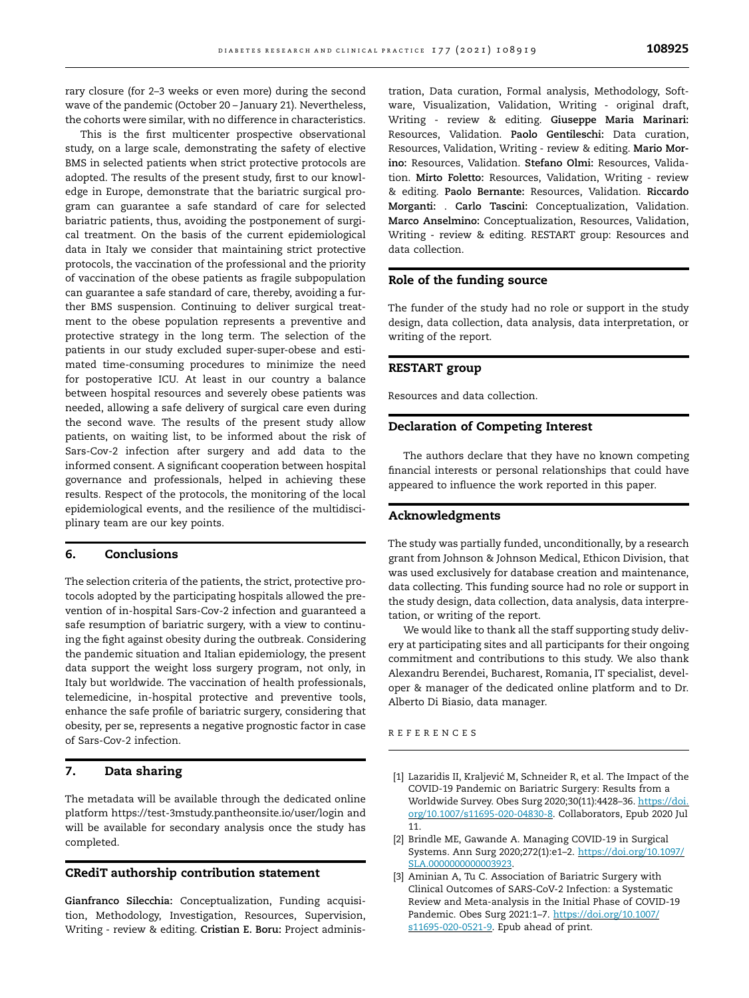<span id="page-6-0"></span>rary closure (for 2–3 weeks or even more) during the second wave of the pandemic (October 20 – January 21). Nevertheless, the cohorts were similar, with no difference in characteristics.

This is the first multicenter prospective observational study, on a large scale, demonstrating the safety of elective BMS in selected patients when strict protective protocols are adopted. The results of the present study, first to our knowledge in Europe, demonstrate that the bariatric surgical program can guarantee a safe standard of care for selected bariatric patients, thus, avoiding the postponement of surgical treatment. On the basis of the current epidemiological data in Italy we consider that maintaining strict protective protocols, the vaccination of the professional and the priority of vaccination of the obese patients as fragile subpopulation can guarantee a safe standard of care, thereby, avoiding a further BMS suspension. Continuing to deliver surgical treatment to the obese population represents a preventive and protective strategy in the long term. The selection of the patients in our study excluded super-super-obese and estimated time-consuming procedures to minimize the need for postoperative ICU. At least in our country a balance between hospital resources and severely obese patients was needed, allowing a safe delivery of surgical care even during the second wave. The results of the present study allow patients, on waiting list, to be informed about the risk of Sars-Cov-2 infection after surgery and add data to the informed consent. A significant cooperation between hospital governance and professionals, helped in achieving these results. Respect of the protocols, the monitoring of the local epidemiological events, and the resilience of the multidisciplinary team are our key points.

#### 6. Conclusions

The selection criteria of the patients, the strict, protective protocols adopted by the participating hospitals allowed the prevention of in-hospital Sars-Cov-2 infection and guaranteed a safe resumption of bariatric surgery, with a view to continuing the fight against obesity during the outbreak. Considering the pandemic situation and Italian epidemiology, the present data support the weight loss surgery program, not only, in Italy but worldwide. The vaccination of health professionals, telemedicine, in-hospital protective and preventive tools, enhance the safe profile of bariatric surgery, considering that obesity, per se, represents a negative prognostic factor in case of Sars-Cov-2 infection.

## 7. Data sharing

The metadata will be available through the dedicated online platform https://test-3mstudy.pantheonsite.io/user/login and will be available for secondary analysis once the study has completed.

#### CRediT authorship contribution statement

Gianfranco Silecchia: Conceptualization, Funding acquisition, Methodology, Investigation, Resources, Supervision, Writing - review & editing. Cristian E. Boru: Project adminis-

tration, Data curation, Formal analysis, Methodology, Software, Visualization, Validation, Writing - original draft, Writing - review & editing. Giuseppe Maria Marinari: Resources, Validation. Paolo Gentileschi: Data curation, Resources, Validation, Writing - review & editing. Mario Morino: Resources, Validation. Stefano Olmi: Resources, Validation. Mirto Foletto: Resources, Validation, Writing - review & editing. Paolo Bernante: Resources, Validation. Riccardo Morganti: . Carlo Tascini: Conceptualization, Validation. Marco Anselmino: Conceptualization, Resources, Validation, Writing - review & editing. RESTART group: Resources and data collection.

## Role of the funding source

The funder of the study had no role or support in the study design, data collection, data analysis, data interpretation, or writing of the report.

#### RESTART group

Resources and data collection.

## Declaration of Competing Interest

The authors declare that they have no known competing financial interests or personal relationships that could have appeared to influence the work reported in this paper.

## Acknowledgments

The study was partially funded, unconditionally, by a research grant from Johnson & Johnson Medical, Ethicon Division, that was used exclusively for database creation and maintenance, data collecting. This funding source had no role or support in the study design, data collection, data analysis, data interpretation, or writing of the report.

We would like to thank all the staff supporting study delivery at participating sites and all participants for their ongoing commitment and contributions to this study. We also thank Alexandru Berendei, Bucharest, Romania, IT specialist, developer & manager of the dedicated online platform and to Dr. Alberto Di Biasio, data manager.

#### REFERENCES

- [1] Lazaridis II, Kraljević M, Schneider R, et al. The Impact of the COVID-19 Pandemic on Bariatric Surgery: Results from a Worldwide Survey. Obes Surg 2020;30(11):4428–36. [https://doi.](https://doi.org/10.1007/s11695-020-04830-8) [org/10.1007/s11695-020-04830-8.](https://doi.org/10.1007/s11695-020-04830-8) Collaborators, Epub 2020 Jul 11.
- [2] Brindle ME, Gawande A. Managing COVID-19 in Surgical Systems. Ann Surg 2020;272(1):e1–2. [https://doi.org/10.1097/](https://doi.org/10.1097/SLA.0000000000003923) [SLA.0000000000003923](https://doi.org/10.1097/SLA.0000000000003923).
- [3] Aminian A, Tu C. Association of Bariatric Surgery with Clinical Outcomes of SARS-CoV-2 Infection: a Systematic Review and Meta-analysis in the Initial Phase of COVID-19 Pandemic. Obes Surg 2021:1–7. [https://doi.org/10.1007/](https://doi.org/10.1007/s11695-020-0521-9) [s11695-020-0521-9](https://doi.org/10.1007/s11695-020-0521-9). Epub ahead of print.